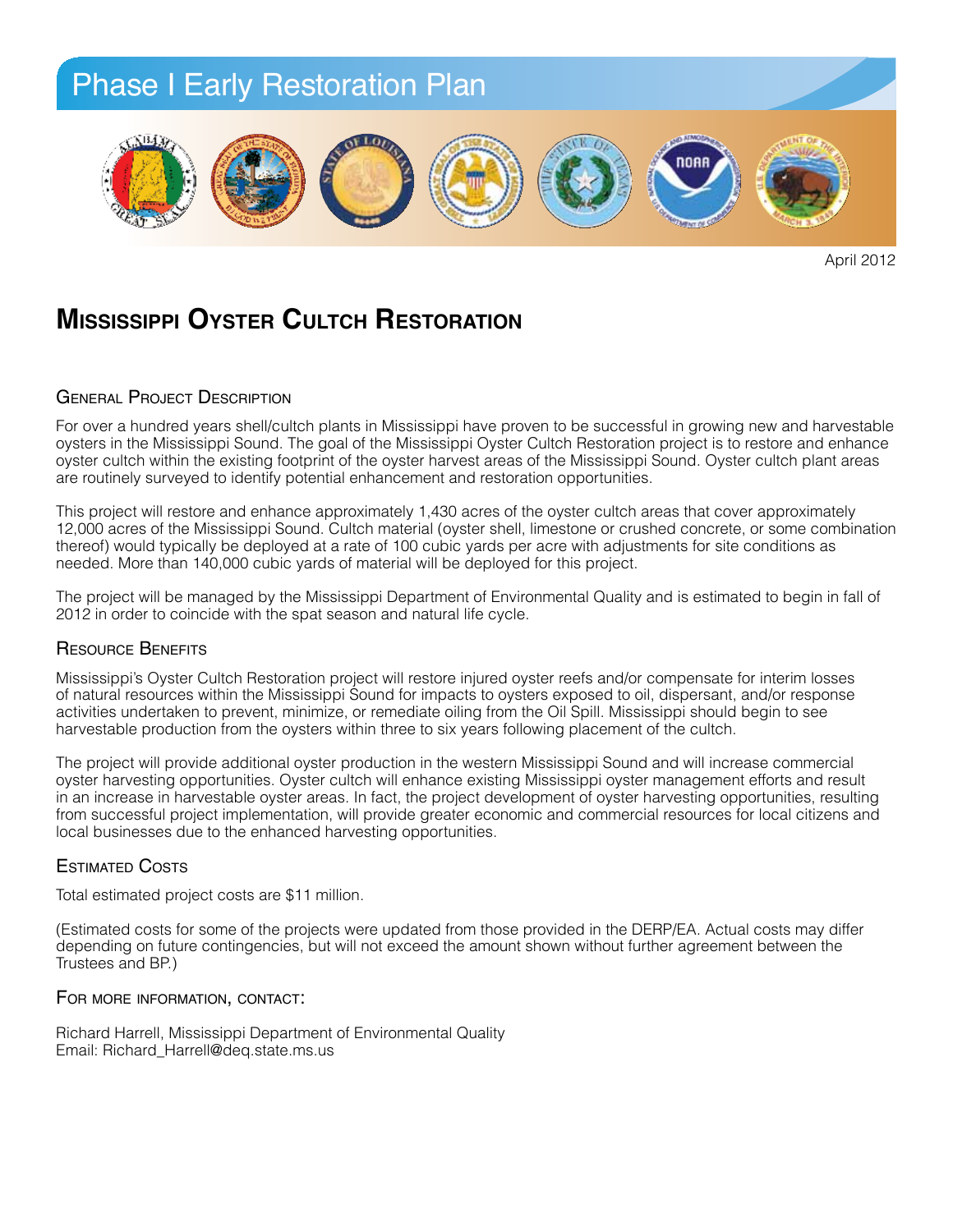

April 2012

## **Mississippi Oyster Cultch Restoration**

#### GENERAL PROJECT DESCRIPTION

oysters in the Mississippi Sound. The goal of the Mississippi Oyster Cultch Restoration project is to restore and enhance by sich canch within the existing footprint of the bysich harvest areas or the Mississippi bound. Oysich canch plant areas<br>are routinely surveyed to identify potential enhancement and restoration opportunities.  $W_{\text{max}}$  Service (Bon Service Refuge) and the Bureau of Land Management (Fort Morgan of Land Management (Fort Morgan of Land Management (Fort Morgan of Land Management (Fort Morgan of Land Management (Fort Morgan of Land For over a hundred years shell/cultch plants in Mississippi have proven to be successful in growing new and harvestable oyster cultch within the existing footprint of the oyster harvest areas of the Mississippi Sound. Oyster cultch plant areas

This project will restore and enhance approximately 1,430 acres of the oyster cultch areas that cover approximately Tz,000 acres of the Mississippi Sound. Culten material (oyster shell, limestone or crushed concrete, or some combination<br>thereof) would typically be deployed at a rate of 100 cubic yards per acre with adjustments for site *result in the formation of a partnership, the Coastal Alabama Dune Restoration Cooperative (CADRC), to*  needed. More than 140,000 cubic yards of material will be deployed for this project. 12,000 acres of the Mississippi Sound. Cultch material (oyster shell, limestone or crushed concrete, or some combination

2012 in order to coincide with the spat season and natural life cycle. The project will be managed by the Mississippi Department of Environmental Quality and is estimated to begin in fall of

#### *Horizon* oil spill, including response efforts, by planting native dune vegetation and installing sand fencing. Resource Benefits

The proposed project will help project will help project with a shortline, a coastline,  $\frac{1}{2}$  coastline protection by restoring a coastline protection by restoring by restoring by restoring a coastline protection by re Mississippi's Oyster Cultch Restoration project will restore injured oyster reefs and/or compensate for interim losses activities undertaken to prevent, minimize, or remediate oiling from the Oil Spill. Mississippi should begin to see<br>har vatable are dusting from the quotare within three to eiv vegre following placement of the quitab of natural resources within the Mississippi Sound for impacts to oysters exposed to oil, dispersant, and/or response harvestable production from the oysters within three to six years following placement of the cultch.

*Planting:* The project will provide additional oyster production in the western Mississippi Sound and will increase commercial oyster narvesting opportunities. Oyster culten will ennance existing mississippi oyster management ellorts and result<br>in an increase in harvestable oyster areas. In fact, the project development of oyster harvesting opport from successful project implementation, will provide greater economic and commercial resources for local citizens and<br>from successful project implementation, will provide greater economic and commercial resources for local local businesses due to the enhanced harvesting opportunities. oyster harvesting opportunities. Oyster cultch will enhance existing Mississippi oyster management efforts and result

### Estimated Costs

Total estimated project costs are \$11 million.

moisture is available to roots, and properly covered with ated costs for some of the projects were up *Sand Fencing:* Trustees and BP.) (Estimated costs for some of the projects were updated from those provided in the DERP/EA. Actual costs may differ depending on future contingencies, but will not exceed the amount shown without further agreement between the

### For more information, contact:

Richard Harrell, Mississippi Department of Environmental Quality *Signage:* Email: Richard\_Harrell@deq.state.ms.us